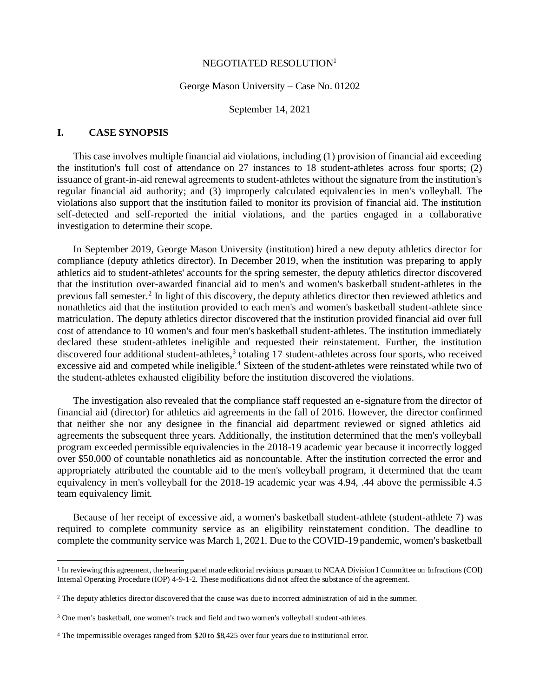#### NEGOTIATED RESOLUTION<sup>1</sup>

#### George Mason University – Case No. 01202

September 14, 2021

#### **I. CASE SYNOPSIS**

This case involves multiple financial aid violations, including (1) provision of financial aid exceeding the institution's full cost of attendance on 27 instances to 18 student-athletes across four sports; (2) issuance of grant-in-aid renewal agreements to student-athletes without the signature from the institution's regular financial aid authority; and (3) improperly calculated equivalencies in men's volleyball. The violations also support that the institution failed to monitor its provision of financial aid. The institution self-detected and self-reported the initial violations, and the parties engaged in a collaborative investigation to determine their scope.

In September 2019, George Mason University (institution) hired a new deputy athletics director for compliance (deputy athletics director). In December 2019, when the institution was preparing to apply athletics aid to student-athletes' accounts for the spring semester, the deputy athletics director discovered that the institution over-awarded financial aid to men's and women's basketball student-athletes in the previous fall semester.<sup>2</sup> In light of this discovery, the deputy athletics director then reviewed athletics and nonathletics aid that the institution provided to each men's and women's basketball student-athlete since matriculation. The deputy athletics director discovered that the institution provided financial aid over full cost of attendance to 10 women's and four men's basketball student-athletes. The institution immediately declared these student-athletes ineligible and requested their reinstatement. Further, the institution discovered four additional student-athletes,<sup>3</sup> totaling 17 student-athletes across four sports, who received excessive aid and competed while ineligible.<sup>4</sup> Sixteen of the student-athletes were reinstated while two of the student-athletes exhausted eligibility before the institution discovered the violations.

The investigation also revealed that the compliance staff requested an e-signature from the director of financial aid (director) for athletics aid agreements in the fall of 2016. However, the director confirmed that neither she nor any designee in the financial aid department reviewed or signed athletics aid agreements the subsequent three years. Additionally, the institution determined that the men's volleyball program exceeded permissible equivalencies in the 2018-19 academic year because it incorrectly logged over \$50,000 of countable nonathletics aid as noncountable. After the institution corrected the error and appropriately attributed the countable aid to the men's volleyball program, it determined that the team equivalency in men's volleyball for the 2018-19 academic year was 4.94, .44 above the permissible 4.5 team equivalency limit.

Because of her receipt of excessive aid, a women's basketball student-athlete (student-athlete 7) was required to complete community service as an eligibility reinstatement condition. The deadline to complete the community service was March 1, 2021. Due to the COVID-19 pandemic, women's basketball

<sup>&</sup>lt;sup>1</sup> In reviewing this agreement, the hearing panel made editorial revisions pursuant to NCAA Division I Committee on Infractions (COI) Internal Operating Procedure (IOP) 4-9-1-2. These modifications did not affect the substance of the agreement.

<sup>2</sup> The deputy athletics director discovered that the cause was due to incorrect administration of aid in the summer.

<sup>&</sup>lt;sup>3</sup> One men's basketball, one women's track and field and two women's volleyball student-athletes.

<sup>4</sup> The impermissible overages ranged from \$20 to \$8,425 over four years due to institutional error.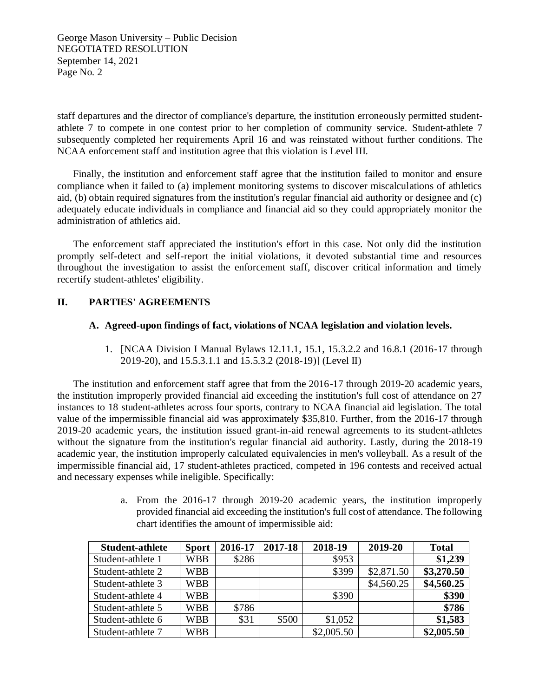staff departures and the director of compliance's departure, the institution erroneously permitted studentathlete 7 to compete in one contest prior to her completion of community service. Student-athlete 7 subsequently completed her requirements April 16 and was reinstated without further conditions. The NCAA enforcement staff and institution agree that this violation is Level III.

Finally, the institution and enforcement staff agree that the institution failed to monitor and ensure compliance when it failed to (a) implement monitoring systems to discover miscalculations of athletics aid, (b) obtain required signatures from the institution's regular financial aid authority or designee and (c) adequately educate individuals in compliance and financial aid so they could appropriately monitor the administration of athletics aid.

The enforcement staff appreciated the institution's effort in this case. Not only did the institution promptly self-detect and self-report the initial violations, it devoted substantial time and resources throughout the investigation to assist the enforcement staff, discover critical information and timely recertify student-athletes' eligibility.

# **II. PARTIES' AGREEMENTS**

#### **A. Agreed-upon findings of fact, violations of NCAA legislation and violation levels.**

1. [NCAA Division I Manual Bylaws 12.11.1, 15.1, 15.3.2.2 and 16.8.1 (2016-17 through 2019-20), and 15.5.3.1.1 and 15.5.3.2 (2018-19)] (Level II)

The institution and enforcement staff agree that from the 2016-17 through 2019-20 academic years, the institution improperly provided financial aid exceeding the institution's full cost of attendance on 27 instances to 18 student-athletes across four sports, contrary to NCAA financial aid legislation. The total value of the impermissible financial aid was approximately \$35,810. Further, from the 2016-17 through 2019-20 academic years, the institution issued grant-in-aid renewal agreements to its student-athletes without the signature from the institution's regular financial aid authority. Lastly, during the 2018-19 academic year, the institution improperly calculated equivalencies in men's volleyball. As a result of the impermissible financial aid, 17 student-athletes practiced, competed in 196 contests and received actual and necessary expenses while ineligible. Specifically:

> a. From the 2016-17 through 2019-20 academic years, the institution improperly provided financial aid exceeding the institution's full cost of attendance. The following chart identifies the amount of impermissible aid:

| <b>Student-athlete</b> | <b>Sport</b> | 2016-17 | 2017-18 | 2018-19    | 2019-20    | <b>Total</b> |
|------------------------|--------------|---------|---------|------------|------------|--------------|
| Student-athlete 1      | <b>WBB</b>   | \$286   |         | \$953      |            | \$1,239      |
| Student-athlete 2      | <b>WBB</b>   |         |         | \$399      | \$2,871.50 | \$3,270.50   |
| Student-athlete 3      | <b>WBB</b>   |         |         |            | \$4,560.25 | \$4,560.25   |
| Student-athlete 4      | <b>WBB</b>   |         |         | \$390      |            | \$390        |
| Student-athlete 5      | <b>WBB</b>   | \$786   |         |            |            | \$786        |
| Student-athlete 6      | <b>WBB</b>   | \$31    | \$500   | \$1,052    |            | \$1,583      |
| Student-athlete 7      | <b>WBB</b>   |         |         | \$2,005.50 |            | \$2,005.50   |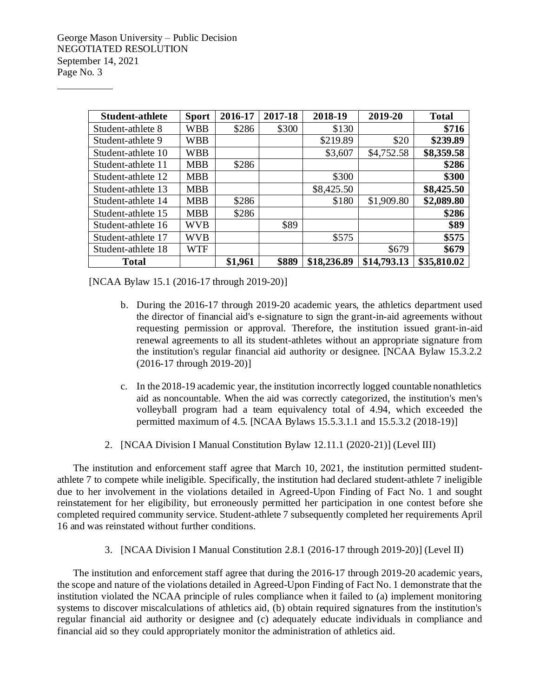| <b>Student-athlete</b> | <b>Sport</b> | 2016-17 | 2017-18 | 2018-19     | 2019-20     | <b>Total</b> |
|------------------------|--------------|---------|---------|-------------|-------------|--------------|
| Student-athlete 8      | WBB          | \$286   | \$300   | \$130       |             | \$716        |
| Student-athlete 9      | WBB          |         |         | \$219.89    | \$20        | \$239.89     |
| Student-athlete 10     | <b>WBB</b>   |         |         | \$3,607     | \$4,752.58  | \$8,359.58   |
| Student-athlete 11     | <b>MBB</b>   | \$286   |         |             |             | \$286        |
| Student-athlete 12     | <b>MBB</b>   |         |         | \$300       |             | \$300        |
| Student-athlete 13     | <b>MBB</b>   |         |         | \$8,425.50  |             | \$8,425.50   |
| Student-athlete 14     | <b>MBB</b>   | \$286   |         | \$180       | \$1,909.80  | \$2,089.80   |
| Student-athlete 15     | <b>MBB</b>   | \$286   |         |             |             | \$286        |
| Student-athlete 16     | <b>WVB</b>   |         | \$89    |             |             | \$89         |
| Student-athlete 17     | <b>WVB</b>   |         |         | \$575       |             | \$575        |
| Student-athlete 18     | WTF          |         |         |             | \$679       | \$679        |
| <b>Total</b>           |              | \$1,961 | \$889   | \$18,236.89 | \$14,793.13 | \$35,810.02  |

[NCAA Bylaw 15.1 (2016-17 through 2019-20)]

- b. During the 2016-17 through 2019-20 academic years, the athletics department used the director of financial aid's e-signature to sign the grant-in-aid agreements without requesting permission or approval. Therefore, the institution issued grant-in-aid renewal agreements to all its student-athletes without an appropriate signature from the institution's regular financial aid authority or designee. [NCAA Bylaw 15.3.2.2 (2016-17 through 2019-20)]
- c. In the 2018-19 academic year, the institution incorrectly logged countable nonathletics aid as noncountable. When the aid was correctly categorized, the institution's men's volleyball program had a team equivalency total of 4.94, which exceeded the permitted maximum of 4.5. [NCAA Bylaws 15.5.3.1.1 and 15.5.3.2 (2018-19)]
- 2. [NCAA Division I Manual Constitution Bylaw 12.11.1 (2020-21)] (Level III)

The institution and enforcement staff agree that March 10, 2021, the institution permitted studentathlete 7 to compete while ineligible. Specifically, the institution had declared student-athlete 7 ineligible due to her involvement in the violations detailed in Agreed-Upon Finding of Fact No. 1 and sought reinstatement for her eligibility, but erroneously permitted her participation in one contest before she completed required community service. Student-athlete 7 subsequently completed her requirements April 16 and was reinstated without further conditions.

3. [NCAA Division I Manual Constitution 2.8.1 (2016-17 through 2019-20)] (Level II)

The institution and enforcement staff agree that during the 2016-17 through 2019-20 academic years, the scope and nature of the violations detailed in Agreed-Upon Finding of Fact No. 1 demonstrate that the institution violated the NCAA principle of rules compliance when it failed to (a) implement monitoring systems to discover miscalculations of athletics aid, (b) obtain required signatures from the institution's regular financial aid authority or designee and (c) adequately educate individuals in compliance and financial aid so they could appropriately monitor the administration of athletics aid.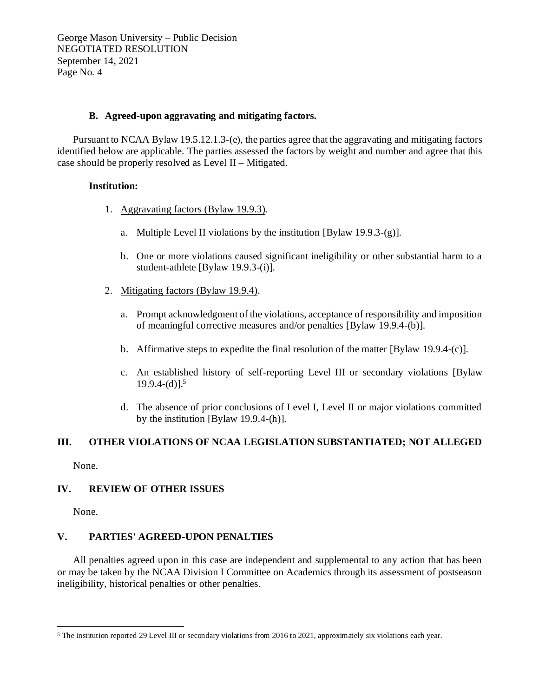## **B. Agreed-upon aggravating and mitigating factors.**

Pursuant to NCAA Bylaw 19.5.12.1.3-(e), the parties agree that the aggravating and mitigating factors identified below are applicable. The parties assessed the factors by weight and number and agree that this case should be properly resolved as Level II **–** Mitigated.

## **Institution:**

- 1. Aggravating factors (Bylaw 19.9.3).
	- a. Multiple Level II violations by the institution [Bylaw 19.9.3-(g)].
	- b. One or more violations caused significant ineligibility or other substantial harm to a student-athlete [Bylaw 19.9.3-(i)].
- 2. Mitigating factors (Bylaw 19.9.4).
	- a. Prompt acknowledgment of the violations, acceptance of responsibility and imposition of meaningful corrective measures and/or penalties [Bylaw 19.9.4-(b)].
	- b. Affirmative steps to expedite the final resolution of the matter [Bylaw 19.9.4-(c)].
	- c. An established history of self-reporting Level III or secondary violations [Bylaw  $19.9.4-(d)$ ].<sup>5</sup>
	- d. The absence of prior conclusions of Level I, Level II or major violations committed by the institution [Bylaw 19.9.4-(h)].

# **III. OTHER VIOLATIONS OF NCAA LEGISLATION SUBSTANTIATED; NOT ALLEGED**

None.

# **IV. REVIEW OF OTHER ISSUES**

None.

# **V. PARTIES' AGREED-UPON PENALTIES**

All penalties agreed upon in this case are independent and supplemental to any action that has been or may be taken by the NCAA Division I Committee on Academics through its assessment of postseason ineligibility, historical penalties or other penalties.

<sup>5</sup> The institution reported 29 Level III or secondary violations from 2016 to 2021, approximately six violations each year.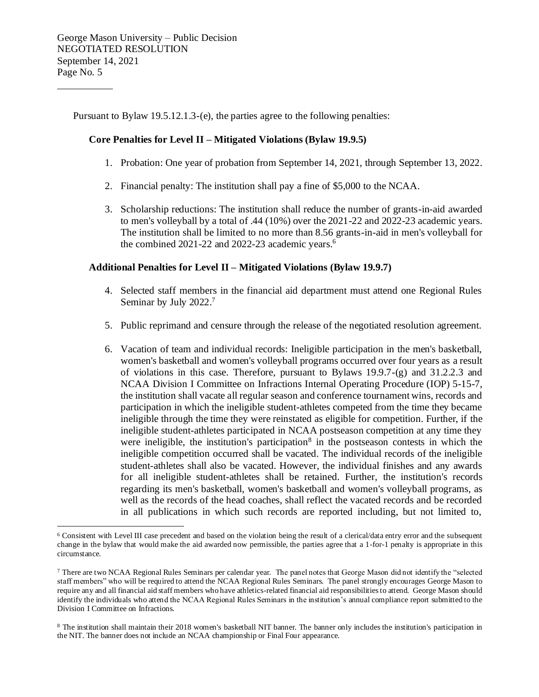Pursuant to Bylaw 19.5.12.1.3-(e), the parties agree to the following penalties:

## **Core Penalties for Level II – Mitigated Violations (Bylaw 19.9.5)**

- 1. Probation: One year of probation from September 14, 2021, through September 13, 2022.
- 2. Financial penalty: The institution shall pay a fine of \$5,000 to the NCAA.
- 3. Scholarship reductions: The institution shall reduce the number of grants-in-aid awarded to men's volleyball by a total of .44 (10%) over the 2021-22 and 2022-23 academic years. The institution shall be limited to no more than 8.56 grants-in-aid in men's volleyball for the combined 2021-22 and 2022-23 academic years.<sup>6</sup>

## **Additional Penalties for Level II – Mitigated Violations (Bylaw 19.9.7)**

- 4. Selected staff members in the financial aid department must attend one Regional Rules Seminar by July 2022.<sup>7</sup>
- 5. Public reprimand and censure through the release of the negotiated resolution agreement.
- 6. Vacation of team and individual records: Ineligible participation in the men's basketball, women's basketball and women's volleyball programs occurred over four years as a result of violations in this case. Therefore, pursuant to Bylaws 19.9.7-(g) and 31.2.2.3 and NCAA Division I Committee on Infractions Internal Operating Procedure (IOP) 5-15-7, the institution shall vacate all regular season and conference tournament wins, records and participation in which the ineligible student-athletes competed from the time they became ineligible through the time they were reinstated as eligible for competition. Further, if the ineligible student-athletes participated in NCAA postseason competition at any time they were ineligible, the institution's participation<sup>8</sup> in the postseason contests in which the ineligible competition occurred shall be vacated. The individual records of the ineligible student-athletes shall also be vacated. However, the individual finishes and any awards for all ineligible student-athletes shall be retained. Further, the institution's records regarding its men's basketball, women's basketball and women's volleyball programs, as well as the records of the head coaches, shall reflect the vacated records and be recorded in all publications in which such records are reported including, but not limited to,

<sup>6</sup> Consistent with Level III case precedent and based on the violation being the result of a clerical/data entry error and the subsequent change in the bylaw that would make the aid awarded now permissible, the parties agree that a 1-for-1 penalty is appropriate in this circumstance.

<sup>7</sup> There are two NCAA Regional Rules Seminars per calendar year. The panel notes that George Mason did not identify the "selected staff members" who will be required to attend the NCAA Regional Rules Seminars. The panel strongly encourages George Mason to require any and all financial aid staff members who have athletics-related financial aid responsibilities to attend. George Mason should identify the individuals who attend the NCAA Regional Rules Seminars in the institution's annual compliance report submitted to the Division I Committee on Infractions.

<sup>&</sup>lt;sup>8</sup> The institution shall maintain their 2018 women's basketball NIT banner. The banner only includes the institution's participation in the NIT. The banner does not include an NCAA championship or Final Four appearance.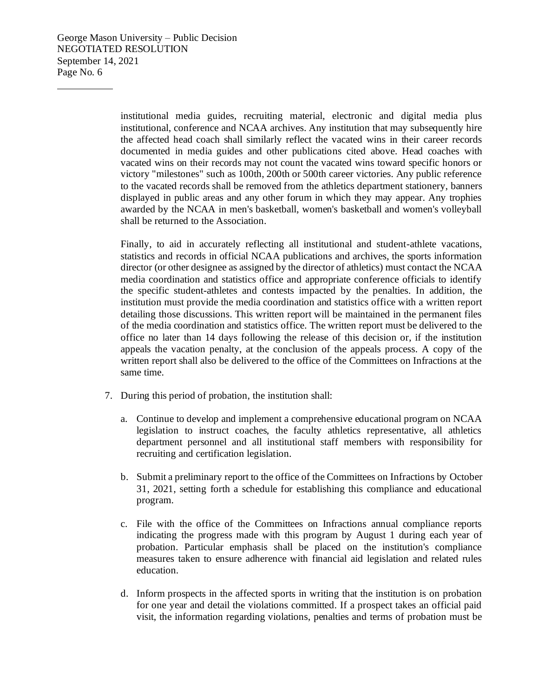> institutional media guides, recruiting material, electronic and digital media plus institutional, conference and NCAA archives. Any institution that may subsequently hire the affected head coach shall similarly reflect the vacated wins in their career records documented in media guides and other publications cited above. Head coaches with vacated wins on their records may not count the vacated wins toward specific honors or victory "milestones" such as 100th, 200th or 500th career victories. Any public reference to the vacated records shall be removed from the athletics department stationery, banners displayed in public areas and any other forum in which they may appear. Any trophies awarded by the NCAA in men's basketball, women's basketball and women's volleyball shall be returned to the Association.

> Finally, to aid in accurately reflecting all institutional and student-athlete vacations, statistics and records in official NCAA publications and archives, the sports information director (or other designee as assigned by the director of athletics) must contact the NCAA media coordination and statistics office and appropriate conference officials to identify the specific student-athletes and contests impacted by the penalties. In addition, the institution must provide the media coordination and statistics office with a written report detailing those discussions. This written report will be maintained in the permanent files of the media coordination and statistics office. The written report must be delivered to the office no later than 14 days following the release of this decision or, if the institution appeals the vacation penalty, at the conclusion of the appeals process. A copy of the written report shall also be delivered to the office of the Committees on Infractions at the same time.

- 7. During this period of probation, the institution shall:
	- a. Continue to develop and implement a comprehensive educational program on NCAA legislation to instruct coaches, the faculty athletics representative, all athletics department personnel and all institutional staff members with responsibility for recruiting and certification legislation.
	- b. Submit a preliminary report to the office of the Committees on Infractions by October 31, 2021, setting forth a schedule for establishing this compliance and educational program.
	- c. File with the office of the Committees on Infractions annual compliance reports indicating the progress made with this program by August 1 during each year of probation. Particular emphasis shall be placed on the institution's compliance measures taken to ensure adherence with financial aid legislation and related rules education.
	- d. Inform prospects in the affected sports in writing that the institution is on probation for one year and detail the violations committed. If a prospect takes an official paid visit, the information regarding violations, penalties and terms of probation must be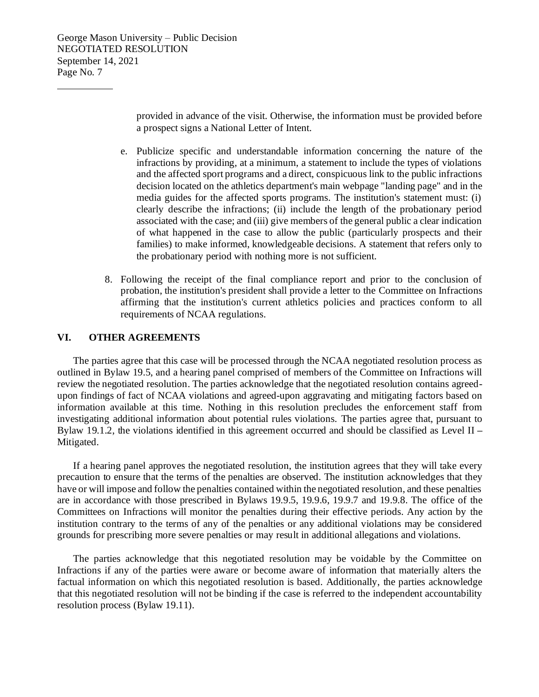provided in advance of the visit. Otherwise, the information must be provided before a prospect signs a National Letter of Intent.

- e. Publicize specific and understandable information concerning the nature of the infractions by providing, at a minimum, a statement to include the types of violations and the affected sport programs and a direct, conspicuous link to the public infractions decision located on the athletics department's main webpage "landing page" and in the media guides for the affected sports programs. The institution's statement must: (i) clearly describe the infractions; (ii) include the length of the probationary period associated with the case; and (iii) give members of the general public a clear indication of what happened in the case to allow the public (particularly prospects and their families) to make informed, knowledgeable decisions. A statement that refers only to the probationary period with nothing more is not sufficient.
- 8. Following the receipt of the final compliance report and prior to the conclusion of probation, the institution's president shall provide a letter to the Committee on Infractions affirming that the institution's current athletics policies and practices conform to all requirements of NCAA regulations.

## **VI. OTHER AGREEMENTS**

The parties agree that this case will be processed through the NCAA negotiated resolution process as outlined in Bylaw 19.5, and a hearing panel comprised of members of the Committee on Infractions will review the negotiated resolution. The parties acknowledge that the negotiated resolution contains agreedupon findings of fact of NCAA violations and agreed-upon aggravating and mitigating factors based on information available at this time. Nothing in this resolution precludes the enforcement staff from investigating additional information about potential rules violations. The parties agree that, pursuant to Bylaw 19.1.2, the violations identified in this agreement occurred and should be classified as Level II **–** Mitigated.

If a hearing panel approves the negotiated resolution, the institution agrees that they will take every precaution to ensure that the terms of the penalties are observed. The institution acknowledges that they have or will impose and follow the penalties contained within the negotiated resolution, and these penalties are in accordance with those prescribed in Bylaws 19.9.5, 19.9.6, 19.9.7 and 19.9.8. The office of the Committees on Infractions will monitor the penalties during their effective periods. Any action by the institution contrary to the terms of any of the penalties or any additional violations may be considered grounds for prescribing more severe penalties or may result in additional allegations and violations.

The parties acknowledge that this negotiated resolution may be voidable by the Committee on Infractions if any of the parties were aware or become aware of information that materially alters the factual information on which this negotiated resolution is based. Additionally, the parties acknowledge that this negotiated resolution will not be binding if the case is referred to the independent accountability resolution process (Bylaw 19.11).